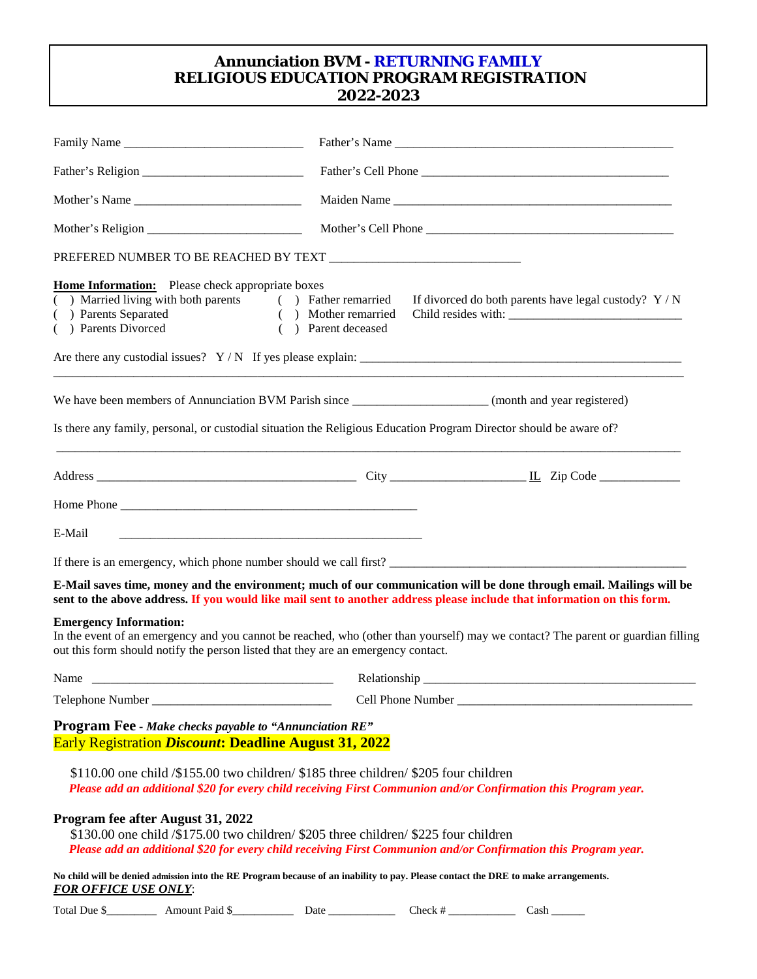# **Annunciation BVM - RETURNING FAMILY RELIGIOUS EDUCATION PROGRAM REGISTRATION 2022-2023**

| Family Name                                                                                                                                                                                                                                            | Maiden Name                                 |  |                                                       |  |
|--------------------------------------------------------------------------------------------------------------------------------------------------------------------------------------------------------------------------------------------------------|---------------------------------------------|--|-------------------------------------------------------|--|
|                                                                                                                                                                                                                                                        |                                             |  |                                                       |  |
| Mother's Name                                                                                                                                                                                                                                          |                                             |  |                                                       |  |
|                                                                                                                                                                                                                                                        |                                             |  |                                                       |  |
|                                                                                                                                                                                                                                                        |                                             |  |                                                       |  |
| <b>Home Information:</b> Please check appropriate boxes<br>( ) Married living with both parents ( ) Father remarried<br>( ) Parents Separated<br>( ) Parents Divorced                                                                                  | ( ) Mother remarried<br>( ) Parent deceased |  | If divorced do both parents have legal custody? $Y/N$ |  |
|                                                                                                                                                                                                                                                        |                                             |  |                                                       |  |
| We have been members of Annunciation BVM Parish since _______________________(month and year registered)                                                                                                                                               |                                             |  |                                                       |  |
| Is there any family, personal, or custodial situation the Religious Education Program Director should be aware of?                                                                                                                                     |                                             |  |                                                       |  |
|                                                                                                                                                                                                                                                        |                                             |  |                                                       |  |
|                                                                                                                                                                                                                                                        |                                             |  |                                                       |  |
| E-Mail                                                                                                                                                                                                                                                 |                                             |  |                                                       |  |
|                                                                                                                                                                                                                                                        |                                             |  |                                                       |  |
| E-Mail saves time, money and the environment; much of our communication will be done through email. Mailings will be<br>sent to the above address. If you would like mail sent to another address please include that information on this form.        |                                             |  |                                                       |  |
| <b>Emergency Information:</b><br>In the event of an emergency and you cannot be reached, who (other than yourself) may we contact? The parent or guardian filling<br>out this form should notify the person listed that they are an emergency contact. |                                             |  |                                                       |  |
| Name                                                                                                                                                                                                                                                   | Relationship                                |  |                                                       |  |
|                                                                                                                                                                                                                                                        |                                             |  |                                                       |  |
| <b>Program Fee - Make checks payable to "Annunciation RE"</b><br><b>Early Registration Discount: Deadline August 31, 2022</b>                                                                                                                          |                                             |  |                                                       |  |
| $$110.00$ one child $$155.00$ two children/ $$185$ three children/ $$205$ four children<br>Please add an additional \$20 for every child receiving First Communion and/or Confirmation this Program year.                                              |                                             |  |                                                       |  |
| Program fee after August 31, 2022<br>\$130.00 one child $/$ \$175.00 two children/\$205 three children/\$225 four children<br>Please add an additional \$20 for every child receiving First Communion and/or Confirmation this Program year.           |                                             |  |                                                       |  |
| No child will be denied admission into the RE Program because of an inability to pay. Please contact the DRE to make arrangements.<br><b>FOR OFFICE USE ONLY:</b>                                                                                      |                                             |  |                                                       |  |
|                                                                                                                                                                                                                                                        |                                             |  |                                                       |  |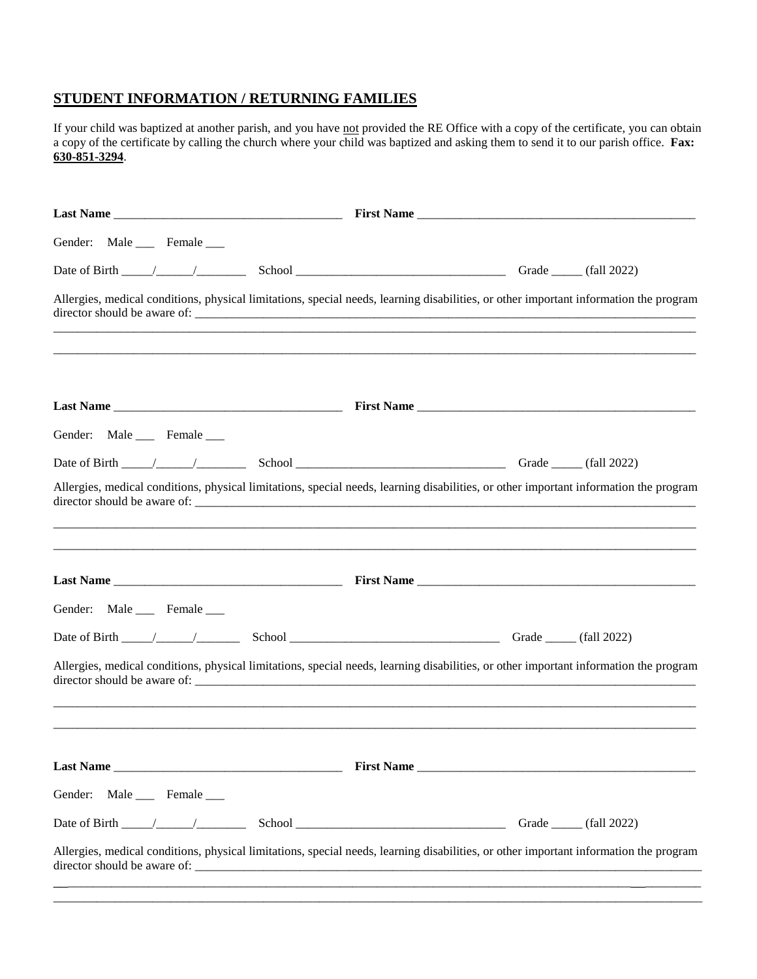#### **STUDENT INFORMATION / RETURNING FAMILIES**

If your child was baptized at another parish, and you have not provided the RE Office with a copy of the certificate, you can obtain a copy of the certificate by calling the church where your child was baptized and asking them to send it to our parish office. **Fax: 630-851-3294**.

| Gender: Male ____ Female ___ |                                                                                                                                       |  |
|------------------------------|---------------------------------------------------------------------------------------------------------------------------------------|--|
|                              |                                                                                                                                       |  |
|                              | Allergies, medical conditions, physical limitations, special needs, learning disabilities, or other important information the program |  |
|                              |                                                                                                                                       |  |
| Gender: Male ____ Female ___ |                                                                                                                                       |  |
|                              |                                                                                                                                       |  |
|                              | Allergies, medical conditions, physical limitations, special needs, learning disabilities, or other important information the program |  |
|                              |                                                                                                                                       |  |
| Gender: Male ____ Female ___ |                                                                                                                                       |  |
|                              |                                                                                                                                       |  |
|                              | Allergies, medical conditions, physical limitations, special needs, learning disabilities, or other important information the program |  |
|                              |                                                                                                                                       |  |
| Gender: Male ____ Female ___ |                                                                                                                                       |  |
|                              |                                                                                                                                       |  |
|                              | Allergies, medical conditions, physical limitations, special needs, learning disabilities, or other important information the program |  |

\_\_\_\_\_\_\_\_\_\_\_\_\_\_\_\_\_\_\_\_\_\_\_\_\_\_\_\_\_\_\_\_\_\_\_\_\_\_\_\_\_\_\_\_\_\_\_\_\_\_\_\_\_\_\_\_\_\_\_\_\_\_\_\_\_\_\_\_\_\_\_\_\_\_\_\_\_\_\_\_\_\_\_\_\_\_\_\_\_\_\_\_\_\_\_\_\_\_\_\_\_\_\_\_\_